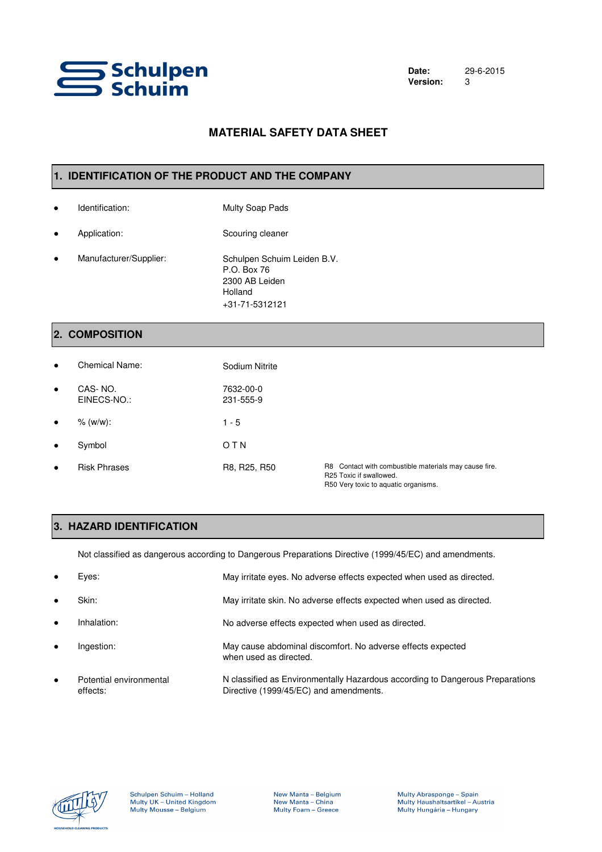

# **MATERIAL SAFETY DATA SHEET**

#### **1. IDENTIFICATION OF THE PRODUCT AND THE COMPANY**

- Identification: Multy Soap Pads
- Application: Scouring cleaner
- Manufacturer/Supplier: +31-71-5312121 Schulpen Schuim Leiden B.V. P.O. Box 76 2300 AB Leiden Holland

# **2. COMPOSITION**

| $\bullet$ | Chemical Name:         | Sodium Nitrite         |                                                                                                                          |
|-----------|------------------------|------------------------|--------------------------------------------------------------------------------------------------------------------------|
| $\bullet$ | CAS-NO.<br>EINECS-NO.: | 7632-00-0<br>231-555-9 |                                                                                                                          |
| $\bullet$ | % (w/w):               | $1 - 5$                |                                                                                                                          |
| $\bullet$ | Symbol                 | OTN                    |                                                                                                                          |
| $\bullet$ | <b>Risk Phrases</b>    | R8, R25, R50           | R8 Contact with combustible materials may cause fire.<br>R25 Toxic if swallowed.<br>R50 Very toxic to aquatic organisms. |

# **3. HAZARD IDENTIFICATION**

Not classified as dangerous according to Dangerous Preparations Directive (1999/45/EC) and amendments.

| $\bullet$ | Eyes:                               | May irritate eyes. No adverse effects expected when used as directed.                                                   |
|-----------|-------------------------------------|-------------------------------------------------------------------------------------------------------------------------|
| $\bullet$ | Skin:                               | May irritate skin. No adverse effects expected when used as directed.                                                   |
| $\bullet$ | Inhalation:                         | No adverse effects expected when used as directed.                                                                      |
| $\bullet$ | Ingestion:                          | May cause abdominal discomfort. No adverse effects expected<br>when used as directed.                                   |
| $\bullet$ | Potential environmental<br>effects: | N classified as Environmentally Hazardous according to Dangerous Preparations<br>Directive (1999/45/EC) and amendments. |

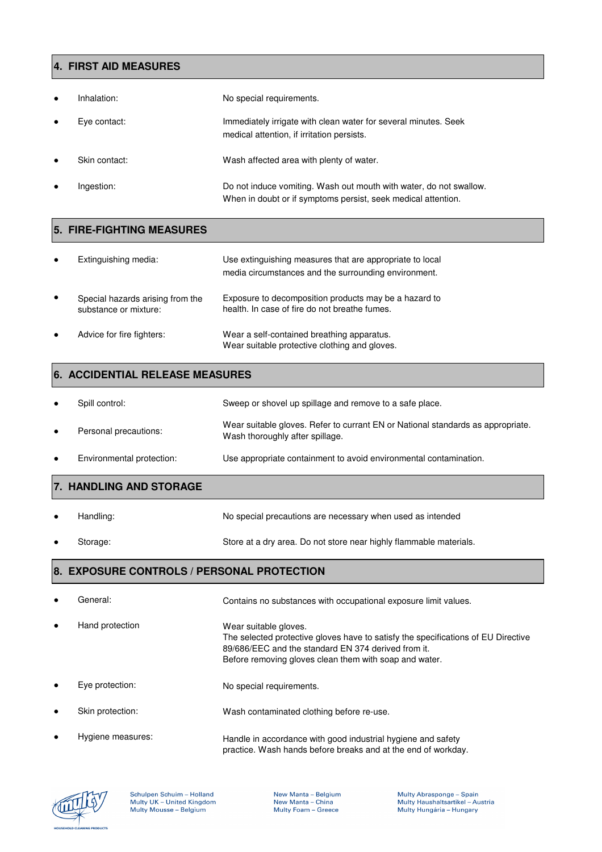## **4. FIRST AID MEASURES**

| $\bullet$ | Inhalation:   | No special requirements.                                                                                                            |
|-----------|---------------|-------------------------------------------------------------------------------------------------------------------------------------|
| $\bullet$ | Eye contact:  | Immediately irrigate with clean water for several minutes. Seek<br>medical attention, if irritation persists.                       |
| $\bullet$ | Skin contact: | Wash affected area with plenty of water.                                                                                            |
| $\bullet$ | Ingestion:    | Do not induce vomiting. Wash out mouth with water, do not swallow.<br>When in doubt or if symptoms persist, seek medical attention. |

# **5. FIRE-FIGHTING MEASURES**

| $\bullet$ | Extinguishing media:                                      | Use extinguishing measures that are appropriate to local<br>media circumstances and the surrounding environment. |
|-----------|-----------------------------------------------------------|------------------------------------------------------------------------------------------------------------------|
| $\bullet$ | Special hazards arising from the<br>substance or mixture: | Exposure to decomposition products may be a hazard to<br>health. In case of fire do not breathe fumes.           |
| $\bullet$ | Advice for fire fighters:                                 | Wear a self-contained breathing apparatus.<br>Wear suitable protective clothing and gloves.                      |

# **6. ACCIDENTIAL RELEASE MEASURES**

|           | Spill control:            | Sweep or shovel up spillage and remove to a safe place.                                                            |
|-----------|---------------------------|--------------------------------------------------------------------------------------------------------------------|
| $\bullet$ | Personal precautions:     | Wear suitable gloves. Refer to currant EN or National standards as appropriate.<br>Wash thoroughly after spillage. |
| $\bullet$ | Environmental protection: | Use appropriate containment to avoid environmental contamination.                                                  |

# **7. HANDLING AND STORAGE**

Handling: No special precautions are necessary when used as intended Storage: Store at a dry area. Do not store near highly flammable materials.

# **8. EXPOSURE CONTROLS / PERSONAL PROTECTION**

| $\bullet$ | General:          | Contains no substances with occupational exposure limit values.                                                                                                                                                             |
|-----------|-------------------|-----------------------------------------------------------------------------------------------------------------------------------------------------------------------------------------------------------------------------|
| $\bullet$ | Hand protection   | Wear suitable gloves.<br>The selected protective gloves have to satisfy the specifications of EU Directive<br>89/686/EEC and the standard EN 374 derived from it.<br>Before removing gloves clean them with soap and water. |
| $\bullet$ | Eve protection:   | No special requirements.                                                                                                                                                                                                    |
| $\bullet$ | Skin protection:  | Wash contaminated clothing before re-use.                                                                                                                                                                                   |
| $\bullet$ | Hygiene measures: | Handle in accordance with good industrial hygiene and safety<br>practice. Wash hands before breaks and at the end of workday.                                                                                               |

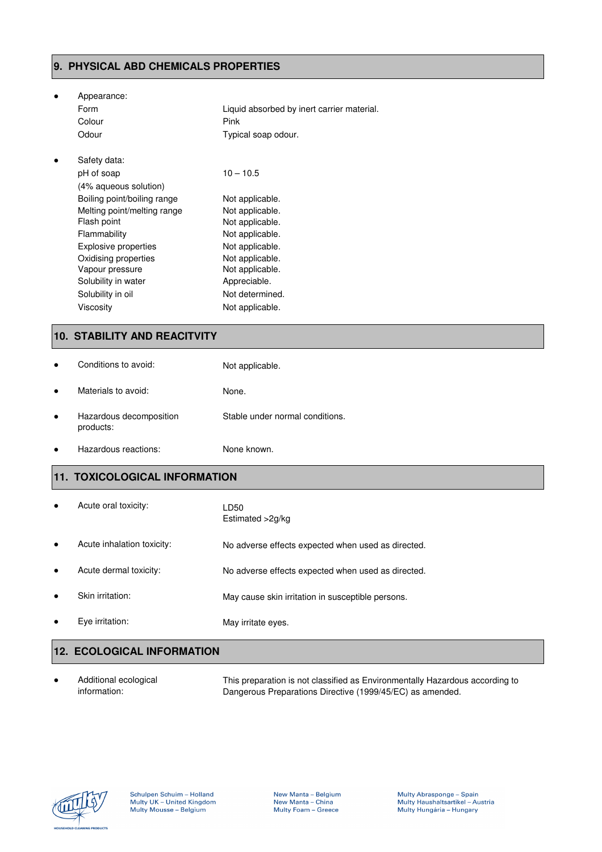## **9. PHYSICAL ABD CHEMICALS PROPERTIES**

| Appearance:                 |                                            |
|-----------------------------|--------------------------------------------|
| Form                        | Liquid absorbed by inert carrier material. |
| Colour                      | Pink                                       |
| Odour                       | Typical soap odour.                        |
| Safety data:                |                                            |
| pH of soap                  | $10 - 10.5$                                |
| (4% aqueous solution)       |                                            |
| Boiling point/boiling range | Not applicable.                            |
| Melting point/melting range | Not applicable.                            |
| Flash point                 | Not applicable.                            |
| Flammability                | Not applicable.                            |
| Explosive properties        | Not applicable.                            |
| Oxidising properties        | Not applicable.                            |
| Vapour pressure             | Not applicable.                            |
| Solubility in water         | Appreciable.                               |
| Solubility in oil           | Not determined.                            |
| Viscosity                   | Not applicable.                            |

# **10. STABILITY AND REACITVITY**

| Conditions to avoid:                 | Not applicable.                 |
|--------------------------------------|---------------------------------|
| Materials to avoid:                  | None.                           |
| Hazardous decomposition<br>products: | Stable under normal conditions. |
| Hazardous reactions:                 | None known.                     |

# **11. TOXICOLOGICAL INFORMATION**

| Acute oral toxicity:       | LD50<br>Estimated >2g/kg                           |
|----------------------------|----------------------------------------------------|
| Acute inhalation toxicity: | No adverse effects expected when used as directed. |
| Acute dermal toxicity:     | No adverse effects expected when used as directed. |
| Skin irritation:           | May cause skin irritation in susceptible persons.  |
| Eye irritation:            | May irritate eyes.                                 |
|                            |                                                    |

# **12. ECOLOGICAL INFORMATION**

● Additional ecological information: This preparation is not classified as Environmentally Hazardous according to Dangerous Preparations Directive (1999/45/EC) as amended.